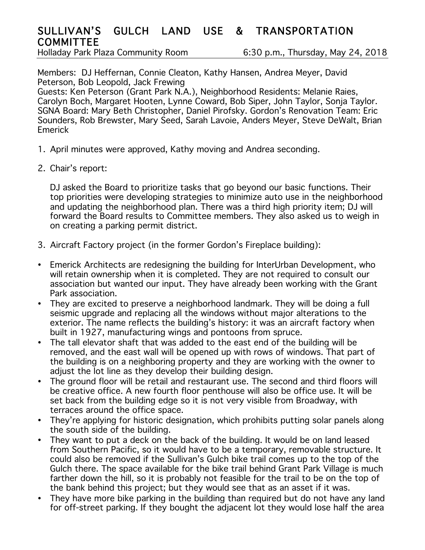## SULLIVAN'S GULCH LAND USE & TRANSPORTATION **COMMITTEE**

Holladay Park Plaza Community Room 6:30 p.m., Thursday, May 24, 2018

Members: DJ Heffernan, Connie Cleaton, Kathy Hansen, Andrea Meyer, David Peterson, Bob Leopold, Jack Frewing

Guests: Ken Peterson (Grant Park N.A.), Neighborhood Residents: Melanie Raies, Carolyn Boch, Margaret Hooten, Lynne Coward, Bob Siper, John Taylor, Sonja Taylor. SGNA Board: Mary Beth Christopher, Daniel Pirofsky. Gordon's Renovation Team: Eric Sounders, Rob Brewster, Mary Seed, Sarah Lavoie, Anders Meyer, Steve DeWalt, Brian Emerick

- 1. April minutes were approved, Kathy moving and Andrea seconding.
- 2. Chair's report:

DJ asked the Board to prioritize tasks that go beyond our basic functions. Their top priorities were developing strategies to minimize auto use in the neighborhood and updating the neighborhood plan. There was a third high priority item; DJ will forward the Board results to Committee members. They also asked us to weigh in on creating a parking permit district.

- 3. Aircraft Factory project (in the former Gordon's Fireplace building):
- Emerick Architects are redesigning the building for InterUrban Development, who will retain ownership when it is completed. They are not required to consult our association but wanted our input. They have already been working with the Grant Park association.
- They are excited to preserve a neighborhood landmark. They will be doing a full seismic upgrade and replacing all the windows without major alterations to the exterior. The name reflects the building's history: it was an aircraft factory when built in 1927, manufacturing wings and pontoons from spruce.
- The tall elevator shaft that was added to the east end of the building will be removed, and the east wall will be opened up with rows of windows. That part of the building is on a neighboring property and they are working with the owner to adjust the lot line as they develop their building design.
- The ground floor will be retail and restaurant use. The second and third floors will be creative office. A new fourth floor penthouse will also be office use. It will be set back from the building edge so it is not very visible from Broadway, with terraces around the office space.
- They're applying for historic designation, which prohibits putting solar panels along the south side of the building.
- They want to put a deck on the back of the building. It would be on land leased from Southern Pacific, so it would have to be a temporary, removable structure. It could also be removed if the Sullivan's Gulch bike trail comes up to the top of the Gulch there. The space available for the bike trail behind Grant Park Village is much farther down the hill, so it is probably not feasible for the trail to be on the top of the bank behind this project; but they would see that as an asset if it was.
- They have more bike parking in the building than required but do not have any land for off-street parking. If they bought the adjacent lot they would lose half the area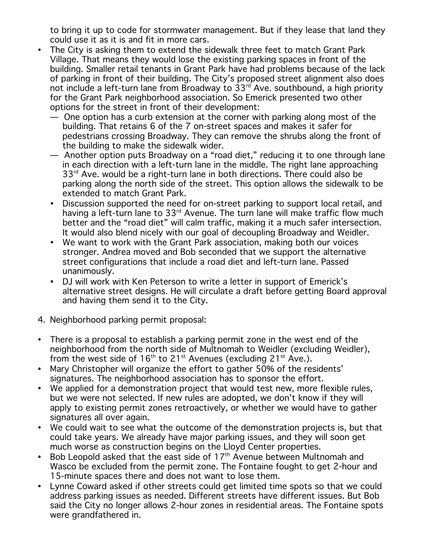to bring it up to code for stormwater management. But if they lease that land they could use it as it is and fit in more cars.

- The City is asking them to extend the sidewalk three feet to match Grant Park Village. That means they would lose the existing parking spaces in front of the building. Smaller retail tenants in Grant Park have had problems because of the lack of parking in front of their building. The City's proposed street alignment also does not include a left-turn lane from Broadway to 33<sup>rd</sup> Ave. southbound, a high priority for the Grant Park neighborhood association. So Emerick presented two other options for the street in front of their development:
	- One option has a curb extension at the corner with parking along most of the building. That retains 6 of the 7 on-street spaces and makes it safer for pedestrians crossing Broadway. They can remove the shrubs along the front of the building to make the sidewalk wider.
	- Another option puts Broadway on a "road diet," reducing it to one through lane in each direction with a left-turn lane in the middle. The right lane approaching 33<sup>rd</sup> Ave. would be a right-turn lane in both directions. There could also be parking along the north side of the street. This option allows the sidewalk to be extended to match Grant Park.
	- Discussion supported the need for on-street parking to support local retail, and having a left-turn lane to 33<sup>rd</sup> Avenue. The turn lane will make traffic flow much better and the "road diet" will calm traffic, making it a much safer intersection. It would also blend nicely with our goal of decoupling Broadway and Weidler.
	- We want to work with the Grant Park association, making both our voices stronger. Andrea moved and Bob seconded that we support the alternative street configurations that include a road diet and left-turn lane. Passed unanimously.
	- DJ will work with Ken Peterson to write a letter in support of Emerick's alternative street designs. He will circulate a draft before getting Board approval and having them send it to the City.
- 4. Neighborhood parking permit proposal:
- There is a proposal to establish a parking permit zone in the west end of the neighborhood from the north side of Multnomah to Weidler (excluding Weidler), from the west side of  $16<sup>th</sup>$  to  $21<sup>st</sup>$  Avenues (excluding  $21<sup>st</sup>$  Ave.).
- Mary Christopher will organize the effort to gather 50% of the residents' signatures. The neighborhood association has to sponsor the effort.
- We applied for a demonstration project that would test new, more flexible rules, but we were not selected. If new rules are adopted, we don't know if they will apply to existing permit zones retroactively, or whether we would have to gather signatures all over again.
- We could wait to see what the outcome of the demonstration projects is, but that could take years. We already have major parking issues, and they will soon get much worse as construction begins on the Lloyd Center properties.
- Bob Leopold asked that the east side of 17<sup>th</sup> Avenue between Multnomah and Wasco be excluded from the permit zone. The Fontaine fought to get 2-hour and 15-minute spaces there and does not want to lose them.
- Lynne Coward asked if other streets could get limited time spots so that we could address parking issues as needed. Different streets have different issues. But Bob said the City no longer allows 2-hour zones in residential areas. The Fontaine spots were grandfathered in.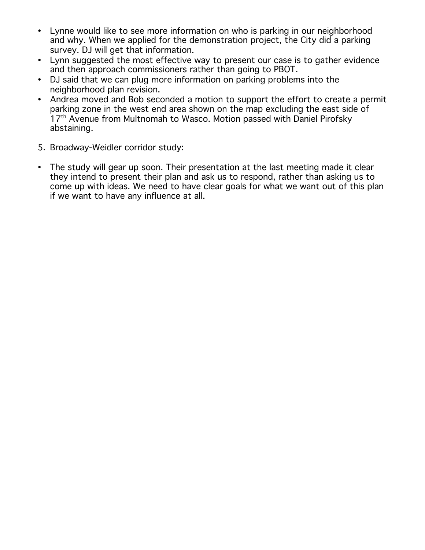- Lynne would like to see more information on who is parking in our neighborhood and why. When we applied for the demonstration project, the City did a parking survey. DJ will get that information.
- Lynn suggested the most effective way to present our case is to gather evidence and then approach commissioners rather than going to PBOT.
- DJ said that we can plug more information on parking problems into the neighborhood plan revision.
- Andrea moved and Bob seconded a motion to support the effort to create a permit parking zone in the west end area shown on the map excluding the east side of 17<sup>th</sup> Avenue from Multnomah to Wasco. Motion passed with Daniel Pirofsky abstaining.
- 5. Broadway-Weidler corridor study:
- The study will gear up soon. Their presentation at the last meeting made it clear they intend to present their plan and ask us to respond, rather than asking us to come up with ideas. We need to have clear goals for what we want out of this plan if we want to have any influence at all.